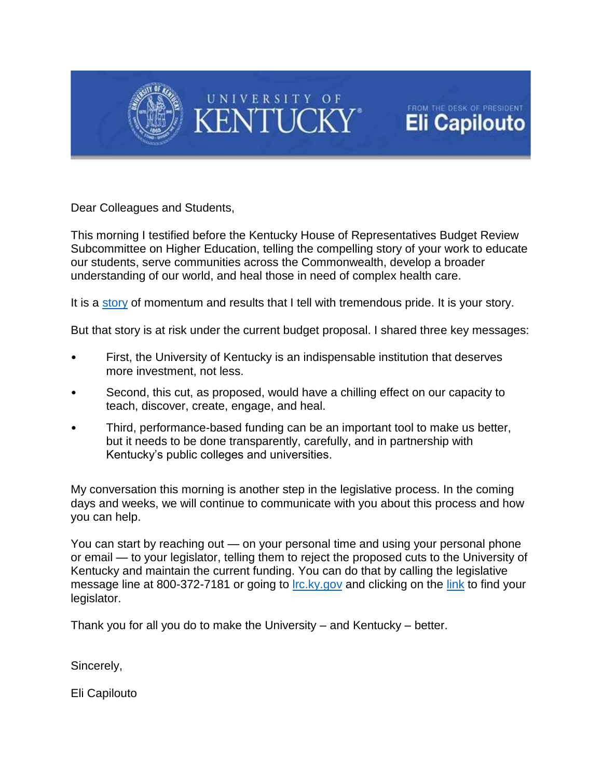



FROM THE DESK OF PRESIDENT **Eli Capilouto** 

Dear Colleagues and Students,

This morning I testified before the Kentucky House of Representatives Budget Review Subcommittee on Higher Education, telling the compelling story of your work to educate our students, serve communities across the Commonwealth, develop a broader understanding of our world, and heal those in need of complex health care.

It is a [story](http://www.uky.edu/president/sites/www.uky.edu.president/files/UK_HBR_2-11-16.pdf) of momentum and results that I tell with tremendous pride. It is your story.

But that story is at risk under the current budget proposal. I shared three key messages:

- First, the University of Kentucky is an indispensable institution that deserves more investment, not less.
- Second, this cut, as proposed, would have a chilling effect on our capacity to teach, discover, create, engage, and heal.
- Third, performance-based funding can be an important tool to make us better, but it needs to be done transparently, carefully, and in partnership with Kentucky's public colleges and universities.

My conversation this morning is another step in the legislative process. In the coming days and weeks, we will continue to communicate with you about this process and how you can help.

You can start by reaching out — on your personal time and using your personal phone or email — to your legislator, telling them to reject the proposed cuts to the University of Kentucky and maintain the current funding. You can do that by calling the legislative message line at 800-372-7181 or going to *lrc.ky.gov* and clicking on the [link](http://www.lrc.ky.gov/Find%20Your%20Legislator/Find%20Your%20Legislator.html) to find your legislator.

Thank you for all you do to make the University – and Kentucky – better.

Sincerely,

Eli Capilouto